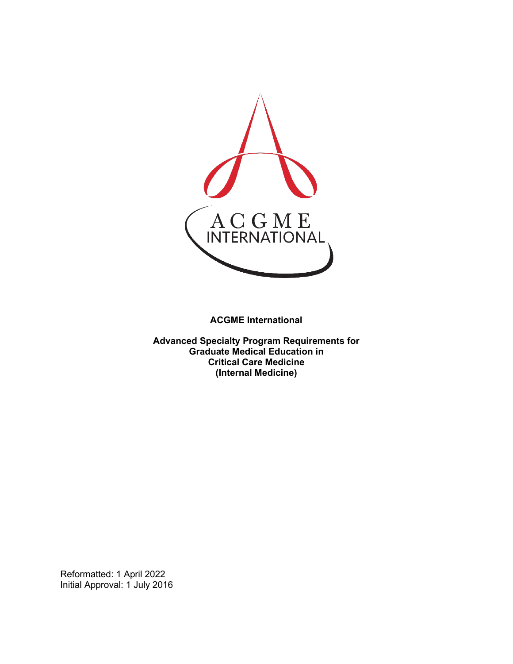

**ACGME International** 

**Advanced Specialty Program Requirements for Graduate Medical Education in Critical Care Medicine (Internal Medicine)**

Reformatted: 1 April 2022 Initial Approval: 1 July 2016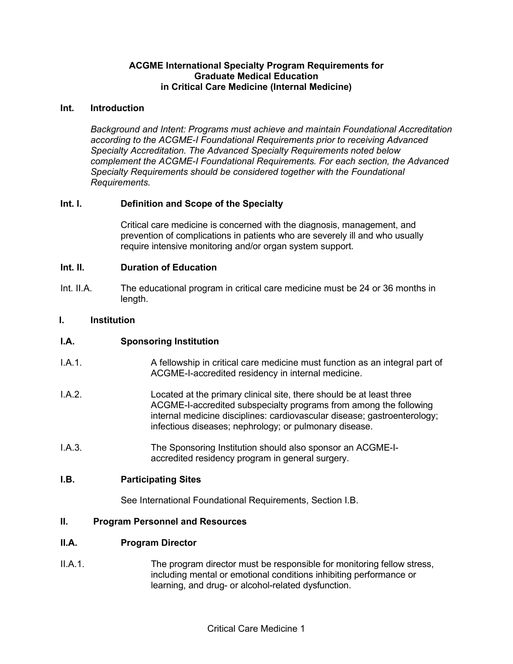## **ACGME International Specialty Program Requirements for Graduate Medical Education in Critical Care Medicine (Internal Medicine)**

#### **Int. Introduction**

*Background and Intent: Programs must achieve and maintain Foundational Accreditation according to the ACGME-I Foundational Requirements prior to receiving Advanced Specialty Accreditation. The Advanced Specialty Requirements noted below complement the ACGME-I Foundational Requirements. For each section, the Advanced Specialty Requirements should be considered together with the Foundational Requirements.*

## **Int. I. Definition and Scope of the Specialty**

Critical care medicine is concerned with the diagnosis, management, and prevention of complications in patients who are severely ill and who usually require intensive monitoring and/or organ system support.

## **Int. II. Duration of Education**

Int. II.A. The educational program in critical care medicine must be 24 or 36 months in length.

## **I. Institution**

## **I.A. Sponsoring Institution**

- I.A.1. A fellowship in critical care medicine must function as an integral part of ACGME-I-accredited residency in internal medicine.
- I.A.2. Located at the primary clinical site, there should be at least three ACGME-I-accredited subspecialty programs from among the following internal medicine disciplines: cardiovascular disease; gastroenterology; infectious diseases; nephrology; or pulmonary disease.
- I.A.3. The Sponsoring Institution should also sponsor an ACGME-Iaccredited residency program in general surgery.

#### **I.B. Participating Sites**

See International Foundational Requirements, Section I.B.

#### **II. Program Personnel and Resources**

#### **II.A. Program Director**

II.A.1. The program director must be responsible for monitoring fellow stress, including mental or emotional conditions inhibiting performance or learning, and drug- or alcohol-related dysfunction.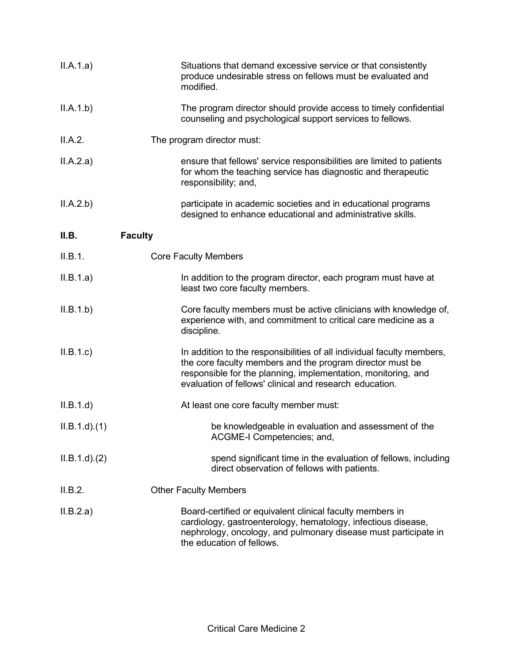| II.A.1.a)       | Situations that demand excessive service or that consistently<br>produce undesirable stress on fellows must be evaluated and<br>modified.                                                                                                                       |
|-----------------|-----------------------------------------------------------------------------------------------------------------------------------------------------------------------------------------------------------------------------------------------------------------|
| II.A.1.b)       | The program director should provide access to timely confidential<br>counseling and psychological support services to fellows.                                                                                                                                  |
| II.A.2.         | The program director must:                                                                                                                                                                                                                                      |
| II.A.2.a)       | ensure that fellows' service responsibilities are limited to patients<br>for whom the teaching service has diagnostic and therapeutic<br>responsibility; and,                                                                                                   |
| II.A.2.b)       | participate in academic societies and in educational programs<br>designed to enhance educational and administrative skills.                                                                                                                                     |
| II.B.           | <b>Faculty</b>                                                                                                                                                                                                                                                  |
| II.B.1.         | <b>Core Faculty Members</b>                                                                                                                                                                                                                                     |
| II.B.1.a)       | In addition to the program director, each program must have at<br>least two core faculty members.                                                                                                                                                               |
| II.B.1.b)       | Core faculty members must be active clinicians with knowledge of,<br>experience with, and commitment to critical care medicine as a<br>discipline.                                                                                                              |
| II.B.1.c        | In addition to the responsibilities of all individual faculty members,<br>the core faculty members and the program director must be<br>responsible for the planning, implementation, monitoring, and<br>evaluation of fellows' clinical and research education. |
| II.B.1.d        | At least one core faculty member must:                                                                                                                                                                                                                          |
| $ILB.1.d$ $(1)$ | be knowledgeable in evaluation and assessment of the<br>ACGME-I Competencies; and,                                                                                                                                                                              |
| ILB.1.d)(2)     | spend significant time in the evaluation of fellows, including<br>direct observation of fellows with patients.                                                                                                                                                  |
| II.B.2.         | <b>Other Faculty Members</b>                                                                                                                                                                                                                                    |
| II.B.2.a)       | Board-certified or equivalent clinical faculty members in<br>cardiology, gastroenterology, hematology, infectious disease,<br>nephrology, oncology, and pulmonary disease must participate in<br>the education of fellows.                                      |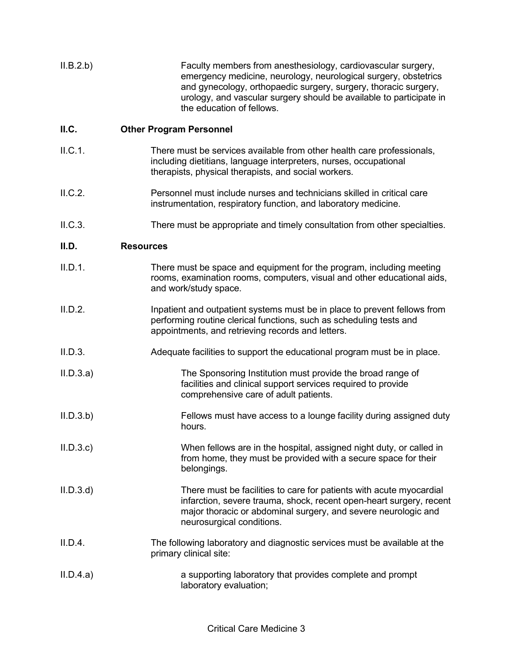II.B.2.b) Faculty members from anesthesiology, cardiovascular surgery, emergency medicine, neurology, neurological surgery, obstetrics and gynecology, orthopaedic surgery, surgery, thoracic surgery, urology, and vascular surgery should be available to participate in the education of fellows.

## **II.C. Other Program Personnel**

- II.C.1. There must be services available from other health care professionals, including dietitians, language interpreters, nurses, occupational therapists, physical therapists, and social workers.
- II.C.2. Personnel must include nurses and technicians skilled in critical care instrumentation, respiratory function, and laboratory medicine.
- II.C.3. There must be appropriate and timely consultation from other specialties.

## **II.D. Resources**

| II.D.1. | There must be space and equipment for the program, including meeting    |
|---------|-------------------------------------------------------------------------|
|         | rooms, examination rooms, computers, visual and other educational aids, |
|         | and work/study space.                                                   |

- II.D.2. Inpatient and outpatient systems must be in place to prevent fellows from performing routine clerical functions, such as scheduling tests and appointments, and retrieving records and letters.
- II.D.3. Adequate facilities to support the educational program must be in place.
- II.D.3.a) The Sponsoring Institution must provide the broad range of facilities and clinical support services required to provide comprehensive care of adult patients.
- II.D.3.b) Fellows must have access to a lounge facility during assigned duty hours.
- II.D.3.c) When fellows are in the hospital, assigned night duty, or called in from home, they must be provided with a secure space for their belongings.
- II.D.3.d) There must be facilities to care for patients with acute myocardial infarction, severe trauma, shock, recent open-heart surgery, recent major thoracic or abdominal surgery, and severe neurologic and neurosurgical conditions.
- II.D.4. The following laboratory and diagnostic services must be available at the primary clinical site:
- II.D.4.a) a supporting laboratory that provides complete and prompt laboratory evaluation;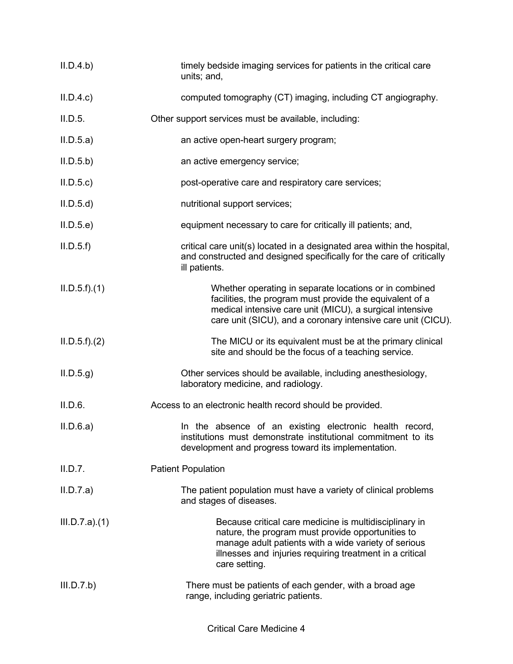| II.D.4.b)     | timely bedside imaging services for patients in the critical care<br>units; and,                                                                                                                                                                 |
|---------------|--------------------------------------------------------------------------------------------------------------------------------------------------------------------------------------------------------------------------------------------------|
| II.D.4.c      | computed tomography (CT) imaging, including CT angiography.                                                                                                                                                                                      |
| II.D.5.       | Other support services must be available, including:                                                                                                                                                                                             |
| II.D.5.a)     | an active open-heart surgery program;                                                                                                                                                                                                            |
| II.D.5.b)     | an active emergency service;                                                                                                                                                                                                                     |
| ILD.5.c)      | post-operative care and respiratory care services;                                                                                                                                                                                               |
| II.D.5.d      | nutritional support services;                                                                                                                                                                                                                    |
| II.D.5.e      | equipment necessary to care for critically ill patients; and,                                                                                                                                                                                    |
| ILD.5.f)      | critical care unit(s) located in a designated area within the hospital,<br>and constructed and designed specifically for the care of critically<br>ill patients.                                                                                 |
| ILD.5.f)(1)   | Whether operating in separate locations or in combined<br>facilities, the program must provide the equivalent of a<br>medical intensive care unit (MICU), a surgical intensive<br>care unit (SICU), and a coronary intensive care unit (CICU).   |
| ILD.5.f).(2)  | The MICU or its equivalent must be at the primary clinical<br>site and should be the focus of a teaching service.                                                                                                                                |
| ILD.5.g       | Other services should be available, including anesthesiology,<br>laboratory medicine, and radiology.                                                                                                                                             |
| II.D.6.       | Access to an electronic health record should be provided.                                                                                                                                                                                        |
| II.D.6.a)     | In the absence of an existing electronic health record,<br>institutions must demonstrate institutional commitment to its<br>development and progress toward its implementation.                                                                  |
| II.D.7.       | <b>Patient Population</b>                                                                                                                                                                                                                        |
| II.D.7.a)     | The patient population must have a variety of clinical problems<br>and stages of diseases.                                                                                                                                                       |
| III.D.7.a)(1) | Because critical care medicine is multidisciplinary in<br>nature, the program must provide opportunities to<br>manage adult patients with a wide variety of serious<br>illnesses and injuries requiring treatment in a critical<br>care setting. |
| III.D.7.b)    | There must be patients of each gender, with a broad age<br>range, including geriatric patients.                                                                                                                                                  |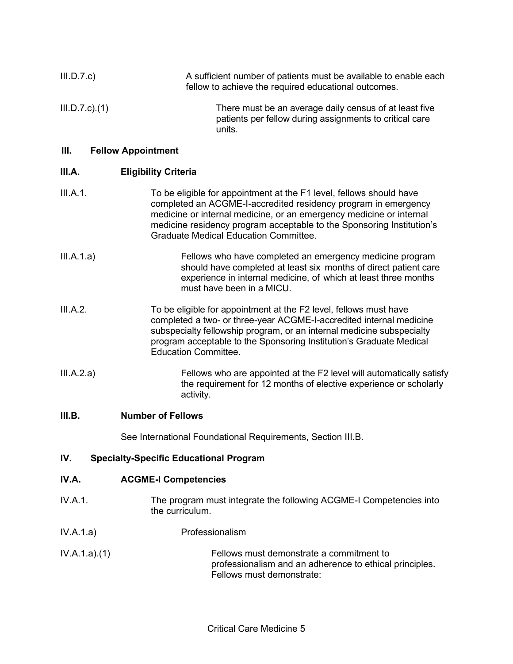| III.D.7.c            | A sufficient number of patients must be available to enable each<br>fellow to achieve the required educational outcomes.                                                                                                                                                                                                              |
|----------------------|---------------------------------------------------------------------------------------------------------------------------------------------------------------------------------------------------------------------------------------------------------------------------------------------------------------------------------------|
| $III.D.7.c$ ). $(1)$ | There must be an average daily census of at least five<br>patients per fellow during assignments to critical care<br>units.                                                                                                                                                                                                           |
| Ш.                   | <b>Fellow Appointment</b>                                                                                                                                                                                                                                                                                                             |
| III.A.               | <b>Eligibility Criteria</b>                                                                                                                                                                                                                                                                                                           |
| III.A.1.             | To be eligible for appointment at the F1 level, fellows should have<br>completed an ACGME-I-accredited residency program in emergency<br>medicine or internal medicine, or an emergency medicine or internal<br>medicine residency program acceptable to the Sponsoring Institution's<br><b>Graduate Medical Education Committee.</b> |
| III.A.1.a)           | Fellows who have completed an emergency medicine program<br>should have completed at least six months of direct patient care<br>experience in internal medicine, of which at least three months<br>must have been in a MICU.                                                                                                          |
| III.A.2.             | To be eligible for appointment at the F2 level, fellows must have<br>completed a two- or three-year ACGME-I-accredited internal medicine<br>subspecialty fellowship program, or an internal medicine subspecialty<br>program acceptable to the Sponsoring Institution's Graduate Medical<br><b>Education Committee.</b>               |
| III.A.2.a)           | Fellows who are appointed at the F2 level will automatically satisfy<br>the requirement for 12 months of elective experience or scholarly<br>activity.                                                                                                                                                                                |
| III.B.               | <b>Number of Fellows</b>                                                                                                                                                                                                                                                                                                              |
|                      | See International Foundational Requirements, Section III.B.                                                                                                                                                                                                                                                                           |

# **IV. Specialty-Specific Educational Program**

## **IV.A. ACGME-I Competencies**

- IV.A.1. The program must integrate the following ACGME-I Competencies into the curriculum.
- IV.A.1.a) Professionalism
- IV.A.1.a).(1) Fellows must demonstrate a commitment to professionalism and an adherence to ethical principles. Fellows must demonstrate: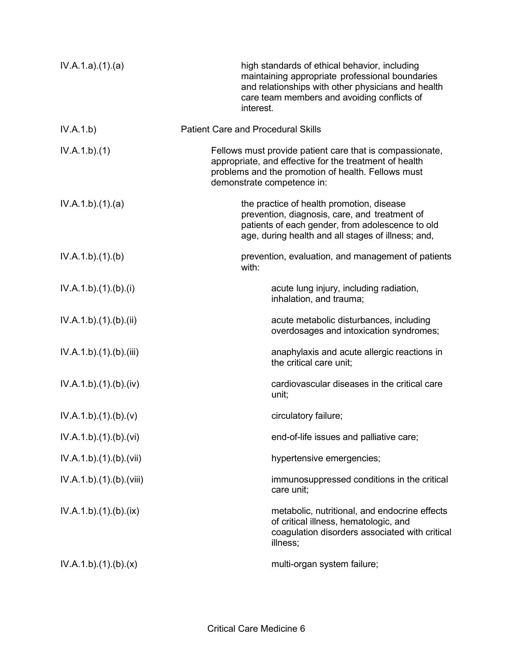| IV.A.1.a)(1)(a)          | high standards of ethical behavior, including<br>maintaining appropriate professional boundaries<br>and relationships with other physicians and health<br>care team members and avoiding conflicts of<br>interest. |
|--------------------------|--------------------------------------------------------------------------------------------------------------------------------------------------------------------------------------------------------------------|
| IV.A.1.b)                | <b>Patient Care and Procedural Skills</b>                                                                                                                                                                          |
| IV.A.1.b)(1)             | Fellows must provide patient care that is compassionate,<br>appropriate, and effective for the treatment of health<br>problems and the promotion of health. Fellows must<br>demonstrate competence in:             |
| IV.A.1.b)(1)(a)          | the practice of health promotion, disease<br>prevention, diagnosis, care, and treatment of<br>patients of each gender, from adolescence to old<br>age, during health and all stages of illness; and,               |
| IV.A.1.b)(1)(b)          | prevention, evaluation, and management of patients<br>with:                                                                                                                                                        |
| IV.A.1.b)(1)(b)(i)       | acute lung injury, including radiation,<br>inhalation, and trauma;                                                                                                                                                 |
| IV.A.1.b)(1)(b)(ii)      | acute metabolic disturbances, including<br>overdosages and intoxication syndromes;                                                                                                                                 |
| IV.A.1.b)(1)(b)(iii)     | anaphylaxis and acute allergic reactions in<br>the critical care unit;                                                                                                                                             |
| IV.A.1.b)(1)(b)(iv)      | cardiovascular diseases in the critical care<br>unit;                                                                                                                                                              |
| IV.A.1.b)(1)(b)(v)       | circulatory failure;                                                                                                                                                                                               |
| IV.A.1.b)(1)(b)(vi)      | end-of-life issues and palliative care;                                                                                                                                                                            |
| IV.A.1.b)(1)(b)(vii)     | hypertensive emergencies;                                                                                                                                                                                          |
| IV.A.1.b).(1).(b).(viii) | immunosuppressed conditions in the critical<br>care unit;                                                                                                                                                          |
| IV.A.1.b)(1)(b)(ix)      | metabolic, nutritional, and endocrine effects<br>of critical illness, hematologic, and<br>coagulation disorders associated with critical<br>illness;                                                               |
| IV.A.1.b)(1)(b)(x)       | multi-organ system failure;                                                                                                                                                                                        |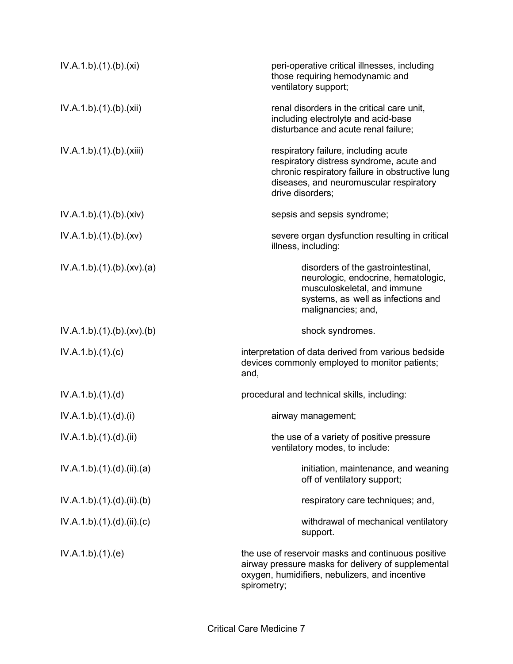| IV.A.1.b)(1)(b)(xi)    | peri-operative critical illnesses, including<br>those requiring hemodynamic and<br>ventilatory support;                                                                                            |
|------------------------|----------------------------------------------------------------------------------------------------------------------------------------------------------------------------------------------------|
| IV.A.1.b)(1)(b)(xii)   | renal disorders in the critical care unit,<br>including electrolyte and acid-base<br>disturbance and acute renal failure;                                                                          |
| IV.A.1.b)(1)(b)(xiii)  | respiratory failure, including acute<br>respiratory distress syndrome, acute and<br>chronic respiratory failure in obstructive lung<br>diseases, and neuromuscular respiratory<br>drive disorders; |
| IV.A.1.b)(1)(b)(xiv)   | sepsis and sepsis syndrome;                                                                                                                                                                        |
| IV.A.1.b)(1)(b)(xv)    | severe organ dysfunction resulting in critical<br>illness, including:                                                                                                                              |
| IV.A.1.b)(1)(b)(xv)(a) | disorders of the gastrointestinal,<br>neurologic, endocrine, hematologic,<br>musculoskeletal, and immune<br>systems, as well as infections and<br>malignancies; and,                               |
| IV.A.1.b)(1)(b)(xv)(b) | shock syndromes.                                                                                                                                                                                   |
| IV.A.1.b)(1)(c)        | interpretation of data derived from various bedside<br>devices commonly employed to monitor patients;<br>and,                                                                                      |
| IV.A.1.b)(1)(d)        | procedural and technical skills, including:                                                                                                                                                        |
| IV.A.1.b)(1).(d).(i)   | airway management;                                                                                                                                                                                 |
| IV.A.1.b)(1).(d).(ii)  | the use of a variety of positive pressure<br>ventilatory modes, to include:                                                                                                                        |
| IV.A.1.b)(1)(d)(ii)(a) | initiation, maintenance, and weaning<br>off of ventilatory support;                                                                                                                                |
| IV.A.1.b)(1)(d)(ii)(b) | respiratory care techniques; and,                                                                                                                                                                  |
| IV.A.1.b)(1)(d)(ii)(c) | withdrawal of mechanical ventilatory<br>support.                                                                                                                                                   |
| IV.A.1.b)(1)(e)        | the use of reservoir masks and continuous positive<br>airway pressure masks for delivery of supplemental<br>oxygen, humidifiers, nebulizers, and incentive<br>spirometry;                          |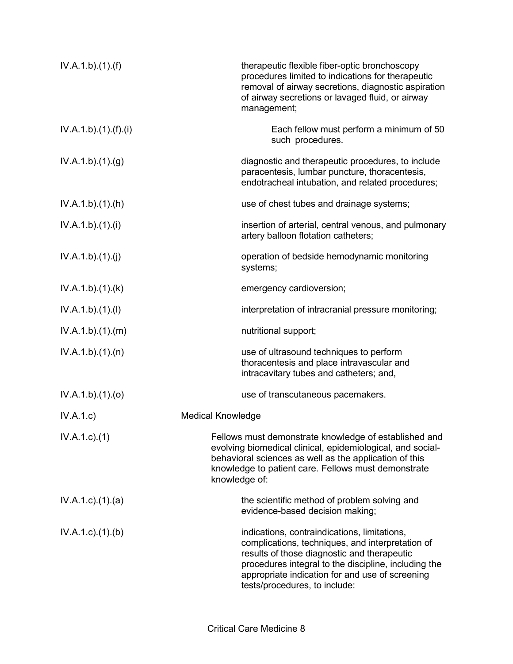| IV.A.1.b)(1)(f)           | therapeutic flexible fiber-optic bronchoscopy<br>procedures limited to indications for therapeutic<br>removal of airway secretions, diagnostic aspiration<br>of airway secretions or lavaged fluid, or airway<br>management;                                                                |
|---------------------------|---------------------------------------------------------------------------------------------------------------------------------------------------------------------------------------------------------------------------------------------------------------------------------------------|
| IV.A.1.b)(1)(f)(i)        | Each fellow must perform a minimum of 50<br>such procedures.                                                                                                                                                                                                                                |
| IV.A.1.b)(1)(g)           | diagnostic and therapeutic procedures, to include<br>paracentesis, lumbar puncture, thoracentesis,<br>endotracheal intubation, and related procedures;                                                                                                                                      |
| IV.A.1.b)(1)(h)           | use of chest tubes and drainage systems;                                                                                                                                                                                                                                                    |
| IV.A.1.b)(1)(i)           | insertion of arterial, central venous, and pulmonary<br>artery balloon flotation catheters;                                                                                                                                                                                                 |
| IV.A.1.b)(1)(j)           | operation of bedside hemodynamic monitoring<br>systems;                                                                                                                                                                                                                                     |
| IV.A.1.b)(1)(k)           | emergency cardioversion;                                                                                                                                                                                                                                                                    |
| IV.A.1.b)(1)(I)           | interpretation of intracranial pressure monitoring;                                                                                                                                                                                                                                         |
| IV.A.1.b)(1)(m)           | nutritional support;                                                                                                                                                                                                                                                                        |
| IV.A.1.b)(1)(n)           | use of ultrasound techniques to perform<br>thoracentesis and place intravascular and<br>intracavitary tubes and catheters; and,                                                                                                                                                             |
| IV.A.1.b)(1)(o)           | use of transcutaneous pacemakers.                                                                                                                                                                                                                                                           |
| IV.A.1.c)                 | <b>Medical Knowledge</b>                                                                                                                                                                                                                                                                    |
| $IV.A.1.c.$ (1)           | Fellows must demonstrate knowledge of established and<br>evolving biomedical clinical, epidemiological, and social-<br>behavioral sciences as well as the application of this<br>knowledge to patient care. Fellows must demonstrate<br>knowledge of:                                       |
| $IV.A.1.c$ . $(1).$ $(a)$ | the scientific method of problem solving and<br>evidence-based decision making;                                                                                                                                                                                                             |
| $IV.A.1.c$ . $(1).$ (b)   | indications, contraindications, limitations,<br>complications, techniques, and interpretation of<br>results of those diagnostic and therapeutic<br>procedures integral to the discipline, including the<br>appropriate indication for and use of screening<br>tests/procedures, to include: |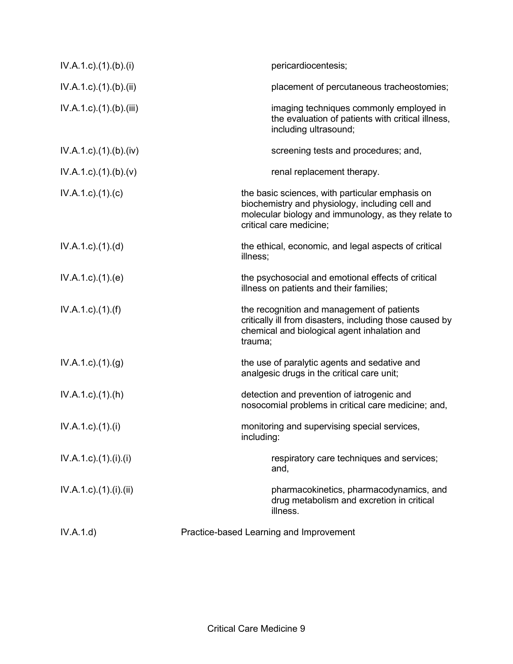| IV.A.1.d)                             | Practice-based Learning and Improvement                                                                                                                                              |
|---------------------------------------|--------------------------------------------------------------------------------------------------------------------------------------------------------------------------------------|
| $IV.A.1.c$ ). $(1)$ . $(ii)$ . $(ii)$ | pharmacokinetics, pharmacodynamics, and<br>drug metabolism and excretion in critical<br>illness.                                                                                     |
| $IV.A.1.c$ ). $(1)$ . $(ii)$ . $(ii)$ | respiratory care techniques and services;<br>and,                                                                                                                                    |
| $IV.A.1.c$ ). $(1).$                  | monitoring and supervising special services,<br>including:                                                                                                                           |
| $IV.A.1.c$ . $(1).(h)$                | detection and prevention of iatrogenic and<br>nosocomial problems in critical care medicine; and,                                                                                    |
| $IV.A.1.c$ . $(1).(g)$                | the use of paralytic agents and sedative and<br>analgesic drugs in the critical care unit;                                                                                           |
| $IV.A.1.c$ . $(1).(f)$                | the recognition and management of patients<br>critically ill from disasters, including those caused by<br>chemical and biological agent inhalation and<br>trauma;                    |
| $IV.A.1.c$ . $(1).$ $(e)$             | the psychosocial and emotional effects of critical<br>illness on patients and their families;                                                                                        |
| $IV.A.1.c$ . $(1).$ $(d)$             | the ethical, economic, and legal aspects of critical<br>illness;                                                                                                                     |
| $IV.A.1.c$ ). $(1).$ (c)              | the basic sciences, with particular emphasis on<br>biochemistry and physiology, including cell and<br>molecular biology and immunology, as they relate to<br>critical care medicine; |
| $IV.A.1.c$ ). $(1)(b)(v)$             | renal replacement therapy.                                                                                                                                                           |
| $IV.A.1.c$ . $(1).$ (b). $(iv)$       | screening tests and procedures; and,                                                                                                                                                 |
| $IV.A.1.c$ . $(1).$ (b). $(iii)$      | imaging techniques commonly employed in<br>the evaluation of patients with critical illness,<br>including ultrasound;                                                                |
| IV.A.1.c).(1).(b).(ii)                | placement of percutaneous tracheostomies;                                                                                                                                            |
| $IV.A.1.c$ ). $(1)$ . $(b)$ . $(i)$   | pericardiocentesis;                                                                                                                                                                  |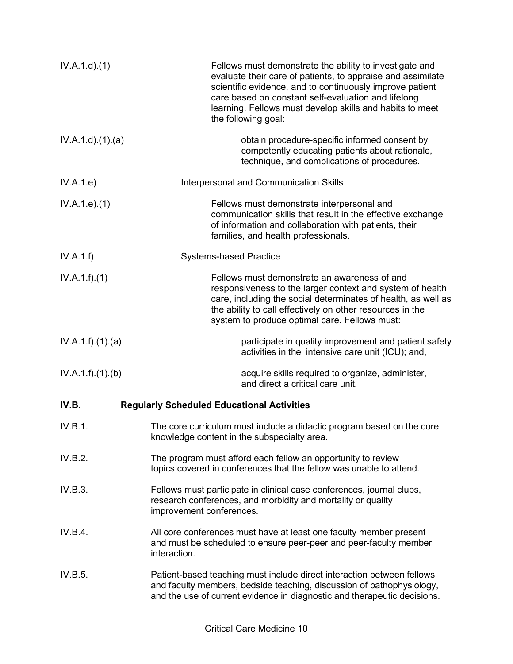| IV.A.1.d.(1)     | Fellows must demonstrate the ability to investigate and<br>evaluate their care of patients, to appraise and assimilate<br>scientific evidence, and to continuously improve patient<br>care based on constant self-evaluation and lifelong<br>learning. Fellows must develop skills and habits to meet<br>the following goal: |
|------------------|------------------------------------------------------------------------------------------------------------------------------------------------------------------------------------------------------------------------------------------------------------------------------------------------------------------------------|
| IV.A.1.d.(1).(a) | obtain procedure-specific informed consent by<br>competently educating patients about rationale,<br>technique, and complications of procedures.                                                                                                                                                                              |
| IV.A.1.e)        | Interpersonal and Communication Skills                                                                                                                                                                                                                                                                                       |
| IV.A.1.e. (1)    | Fellows must demonstrate interpersonal and<br>communication skills that result in the effective exchange<br>of information and collaboration with patients, their<br>families, and health professionals.                                                                                                                     |
| IV.A.1.f)        | <b>Systems-based Practice</b>                                                                                                                                                                                                                                                                                                |
| IV.A.1.f)(1)     | Fellows must demonstrate an awareness of and<br>responsiveness to the larger context and system of health<br>care, including the social determinates of health, as well as<br>the ability to call effectively on other resources in the<br>system to produce optimal care. Fellows must:                                     |
| IV.A.1.f)(1)(a)  | participate in quality improvement and patient safety<br>activities in the intensive care unit (ICU); and,                                                                                                                                                                                                                   |
| IV.A.1.f)(1)(b)  | acquire skills required to organize, administer,<br>and direct a critical care unit.                                                                                                                                                                                                                                         |
| IV.B.            | <b>Regularly Scheduled Educational Activities</b>                                                                                                                                                                                                                                                                            |
| IV.B.1.          | The core curriculum must include a didactic program based on the core<br>knowledge content in the subspecialty area.                                                                                                                                                                                                         |
| IV.B.2.          | The program must afford each fellow an opportunity to review<br>topics covered in conferences that the fellow was unable to attend.                                                                                                                                                                                          |
| IV.B.3.          | Fellows must participate in clinical case conferences, journal clubs,<br>research conferences, and morbidity and mortality or quality<br>improvement conferences.                                                                                                                                                            |
| IV.B.4.          | All core conferences must have at least one faculty member present<br>and must be scheduled to ensure peer-peer and peer-faculty member<br>interaction.                                                                                                                                                                      |
| IV.B.5.          | Patient-based teaching must include direct interaction between fellows<br>and faculty members, bedside teaching, discussion of pathophysiology,<br>and the use of current evidence in diagnostic and therapeutic decisions.                                                                                                  |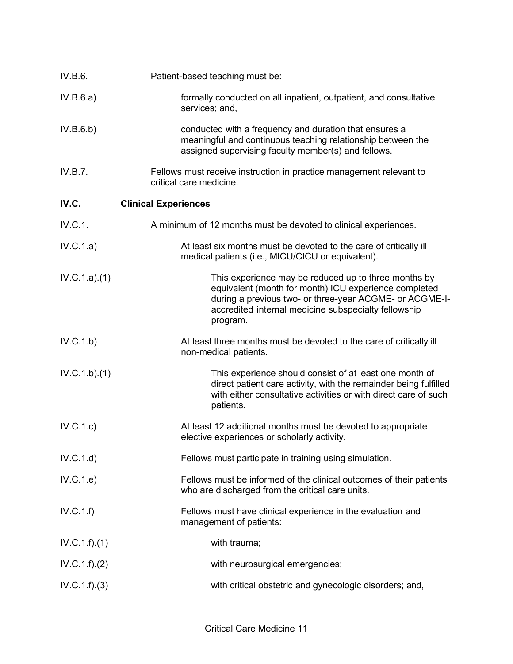| IV.B.6.          | Patient-based teaching must be:                                                                                                                                                                                                              |
|------------------|----------------------------------------------------------------------------------------------------------------------------------------------------------------------------------------------------------------------------------------------|
| IV.B.6.a)        | formally conducted on all inpatient, outpatient, and consultative<br>services; and,                                                                                                                                                          |
| IV.B.6.b)        | conducted with a frequency and duration that ensures a<br>meaningful and continuous teaching relationship between the<br>assigned supervising faculty member(s) and fellows.                                                                 |
| IV.B.7.          | Fellows must receive instruction in practice management relevant to<br>critical care medicine.                                                                                                                                               |
| IV.C.            | <b>Clinical Experiences</b>                                                                                                                                                                                                                  |
| IV.C.1.          | A minimum of 12 months must be devoted to clinical experiences.                                                                                                                                                                              |
| IV.C.1.a)        | At least six months must be devoted to the care of critically ill<br>medical patients (i.e., MICU/CICU or equivalent).                                                                                                                       |
| IV.C.1.a)(1)     | This experience may be reduced up to three months by<br>equivalent (month for month) ICU experience completed<br>during a previous two- or three-year ACGME- or ACGME-I-<br>accredited internal medicine subspecialty fellowship<br>program. |
| IV.C.1.b)        | At least three months must be devoted to the care of critically ill<br>non-medical patients.                                                                                                                                                 |
| IV.C.1.b)(1)     | This experience should consist of at least one month of<br>direct patient care activity, with the remainder being fulfilled<br>with either consultative activities or with direct care of such<br>patients.                                  |
| IV.C.1.c)        | At least 12 additional months must be devoted to appropriate<br>elective experiences or scholarly activity.                                                                                                                                  |
| IV.C.1.d)        | Fellows must participate in training using simulation.                                                                                                                                                                                       |
| IV.C.1.e)        | Fellows must be informed of the clinical outcomes of their patients<br>who are discharged from the critical care units.                                                                                                                      |
| IV.C.1.f)        | Fellows must have clinical experience in the evaluation and<br>management of patients:                                                                                                                                                       |
| IV.C.1.f).(1)    | with trauma;                                                                                                                                                                                                                                 |
| IV.C.1.f). (2)   | with neurosurgical emergencies;                                                                                                                                                                                                              |
| $IV.C.1.f).$ (3) | with critical obstetric and gynecologic disorders; and,                                                                                                                                                                                      |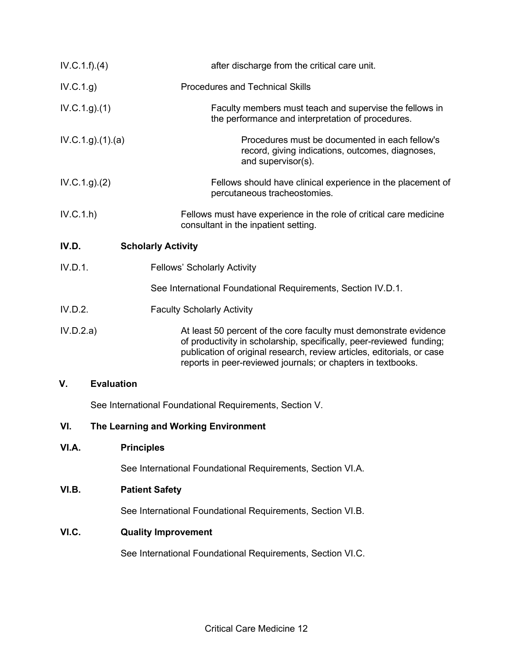| IV.C.1.f)(4)  | after discharge from the critical care unit.                                                                                                                                                                                                                                        |  |
|---------------|-------------------------------------------------------------------------------------------------------------------------------------------------------------------------------------------------------------------------------------------------------------------------------------|--|
| IV.C.1.g)     | <b>Procedures and Technical Skills</b>                                                                                                                                                                                                                                              |  |
| IV.C.1.g. (1) | Faculty members must teach and supervise the fellows in<br>the performance and interpretation of procedures.                                                                                                                                                                        |  |
|               | IV.C.1.g. (1). (a)<br>Procedures must be documented in each fellow's<br>record, giving indications, outcomes, diagnoses,<br>and supervisor(s).                                                                                                                                      |  |
| IV.C.1.g. (2) | Fellows should have clinical experience in the placement of<br>percutaneous tracheostomies.                                                                                                                                                                                         |  |
| IV.C.1.h      | Fellows must have experience in the role of critical care medicine<br>consultant in the inpatient setting.                                                                                                                                                                          |  |
| IV.D.         | <b>Scholarly Activity</b>                                                                                                                                                                                                                                                           |  |
| IV.D.1.       | <b>Fellows' Scholarly Activity</b>                                                                                                                                                                                                                                                  |  |
|               | See International Foundational Requirements, Section IV.D.1.                                                                                                                                                                                                                        |  |
| IV.D.2.       | <b>Faculty Scholarly Activity</b>                                                                                                                                                                                                                                                   |  |
| IV.D.2.a)     | At least 50 percent of the core faculty must demonstrate evidence<br>of productivity in scholarship, specifically, peer-reviewed funding;<br>publication of original research, review articles, editorials, or case<br>reports in peer-reviewed journals; or chapters in textbooks. |  |
| V.            | <b>Evaluation</b>                                                                                                                                                                                                                                                                   |  |
|               | See International Foundational Requirements, Section V.                                                                                                                                                                                                                             |  |
| VI.           | The Learning and Working Environment                                                                                                                                                                                                                                                |  |
| VI.A.         | <b>Principles</b>                                                                                                                                                                                                                                                                   |  |
|               | See International Foundational Requirements, Section VI.A.                                                                                                                                                                                                                          |  |
| VI.B.         | <b>Patient Safety</b>                                                                                                                                                                                                                                                               |  |
|               | See International Foundational Requirements, Section VI.B.                                                                                                                                                                                                                          |  |
| VI.C.         | <b>Quality Improvement</b>                                                                                                                                                                                                                                                          |  |
|               | See International Foundational Requirements, Section VI.C.                                                                                                                                                                                                                          |  |